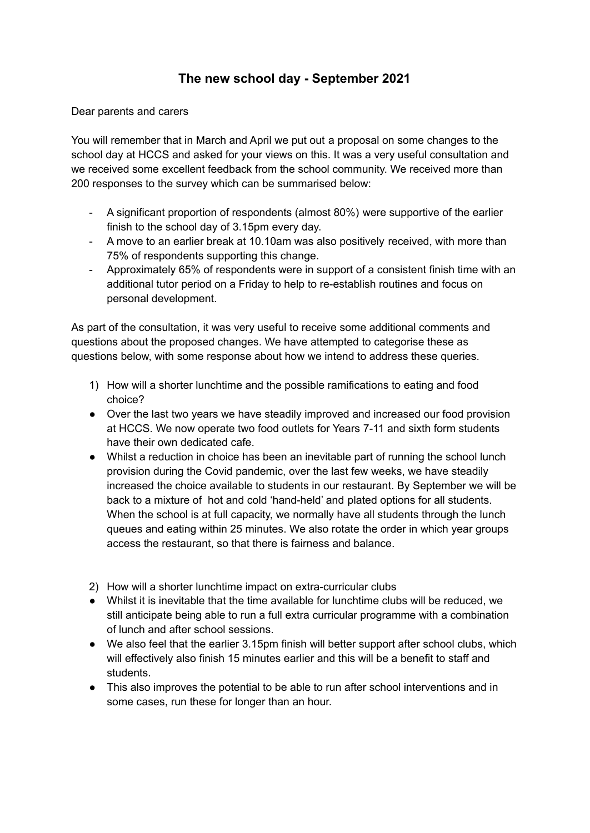## **The new school day - September 2021**

Dear parents and carers

You will remember that in March and April we put out a proposal on some changes to the school day at HCCS and asked for your views on this. It was a very useful consultation and we received some excellent feedback from the school community. We received more than 200 responses to the survey which can be summarised below:

- A significant proportion of respondents (almost 80%) were supportive of the earlier finish to the school day of 3.15pm every day.
- A move to an earlier break at 10.10am was also positively received, with more than 75% of respondents supporting this change.
- Approximately 65% of respondents were in support of a consistent finish time with an additional tutor period on a Friday to help to re-establish routines and focus on personal development.

As part of the consultation, it was very useful to receive some additional comments and questions about the proposed changes. We have attempted to categorise these as questions below, with some response about how we intend to address these queries.

- 1) How will a shorter lunchtime and the possible ramifications to eating and food choice?
- Over the last two years we have steadily improved and increased our food provision at HCCS. We now operate two food outlets for Years 7-11 and sixth form students have their own dedicated cafe.
- Whilst a reduction in choice has been an inevitable part of running the school lunch provision during the Covid pandemic, over the last few weeks, we have steadily increased the choice available to students in our restaurant. By September we will be back to a mixture of hot and cold 'hand-held' and plated options for all students. When the school is at full capacity, we normally have all students through the lunch queues and eating within 25 minutes. We also rotate the order in which year groups access the restaurant, so that there is fairness and balance.
- 2) How will a shorter lunchtime impact on extra-curricular clubs
- Whilst it is inevitable that the time available for lunchtime clubs will be reduced, we still anticipate being able to run a full extra curricular programme with a combination of lunch and after school sessions.
- We also feel that the earlier 3.15pm finish will better support after school clubs, which will effectively also finish 15 minutes earlier and this will be a benefit to staff and students.
- This also improves the potential to be able to run after school interventions and in some cases, run these for longer than an hour.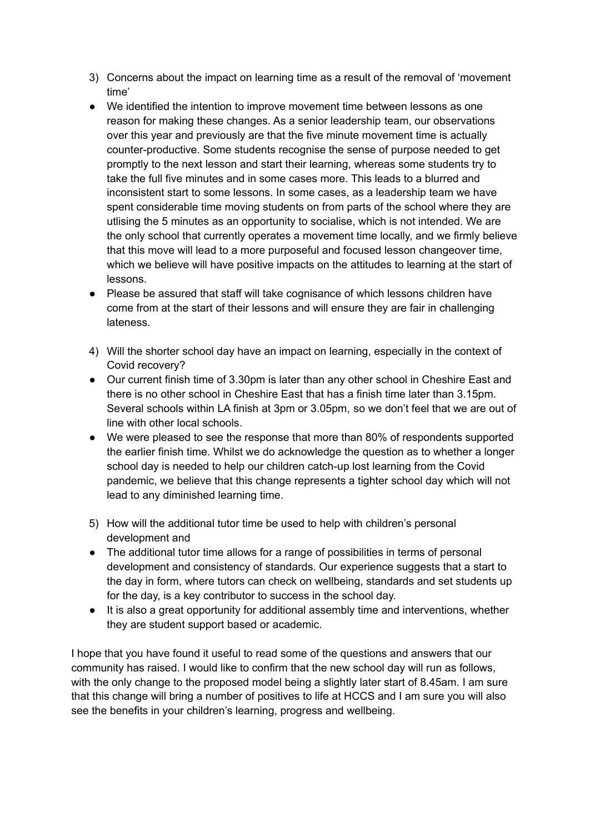- 3) Concerns about the impact on learning time as a result of the removal of 'movement time'
- We identified the intention to improve movement time between lessons as one reason for making these changes. As a senior leadership team, our observations over this year and previously are that the five minute movement time is actually counter-productive. Some students recognise the sense of purpose needed to get promptly to the next lesson and start their learning, whereas some students try to take the full five minutes and in some cases more. This leads to a blurred and inconsistent start to some lessons. In some cases, as a leadership team we have spent considerable time moving students on from parts of the school where they are utlising the 5 minutes as an opportunity to socialise, which is not intended. We are the only school that currently operates a movement time locally, and we firmly believe that this move will lead to a more purposeful and focused lesson changeover time, which we believe will have positive impacts on the attitudes to learning at the start of lessons.
- Please be assured that staff will take cognisance of which lessons children have come from at the start of their lessons and will ensure they are fair in challenging lateness.
- 4) Will the shorter school day have an impact on learning, especially in the context of Covid recovery?
- Our current finish time of 3.30pm is later than any other school in Cheshire East and there is no other school in Cheshire East that has a finish time later than 3.15pm. Several schools within LA finish at 3pm or 3.05pm, so we don't feel that we are out of line with other local schools.
- We were pleased to see the response that more than 80% of respondents supported the earlier finish time. Whilst we do acknowledge the question as to whether a longer school day is needed to help our children catch-up lost learning from the Covid pandemic, we believe that this change represents a tighter school day which will not lead to any diminished learning time.
- 5) How will the additional tutor time be used to help with children's personal development and
- The additional tutor time allows for a range of possibilities in terms of personal development and consistency of standards. Our experience suggests that a start to the day in form, where tutors can check on wellbeing, standards and set students up for the day, is a key contributor to success in the school day.
- It is also a great opportunity for additional assembly time and interventions, whether they are student support based or academic.

I hope that you have found it useful to read some of the questions and answers that our community has raised. I would like to confirm that the new school day will run as follows, with the only change to the proposed model being a slightly later start of 8.45am. I am sure that this change will bring a number of positives to life at HCCS and I am sure you will also see the benefits in your children's learning, progress and wellbeing.